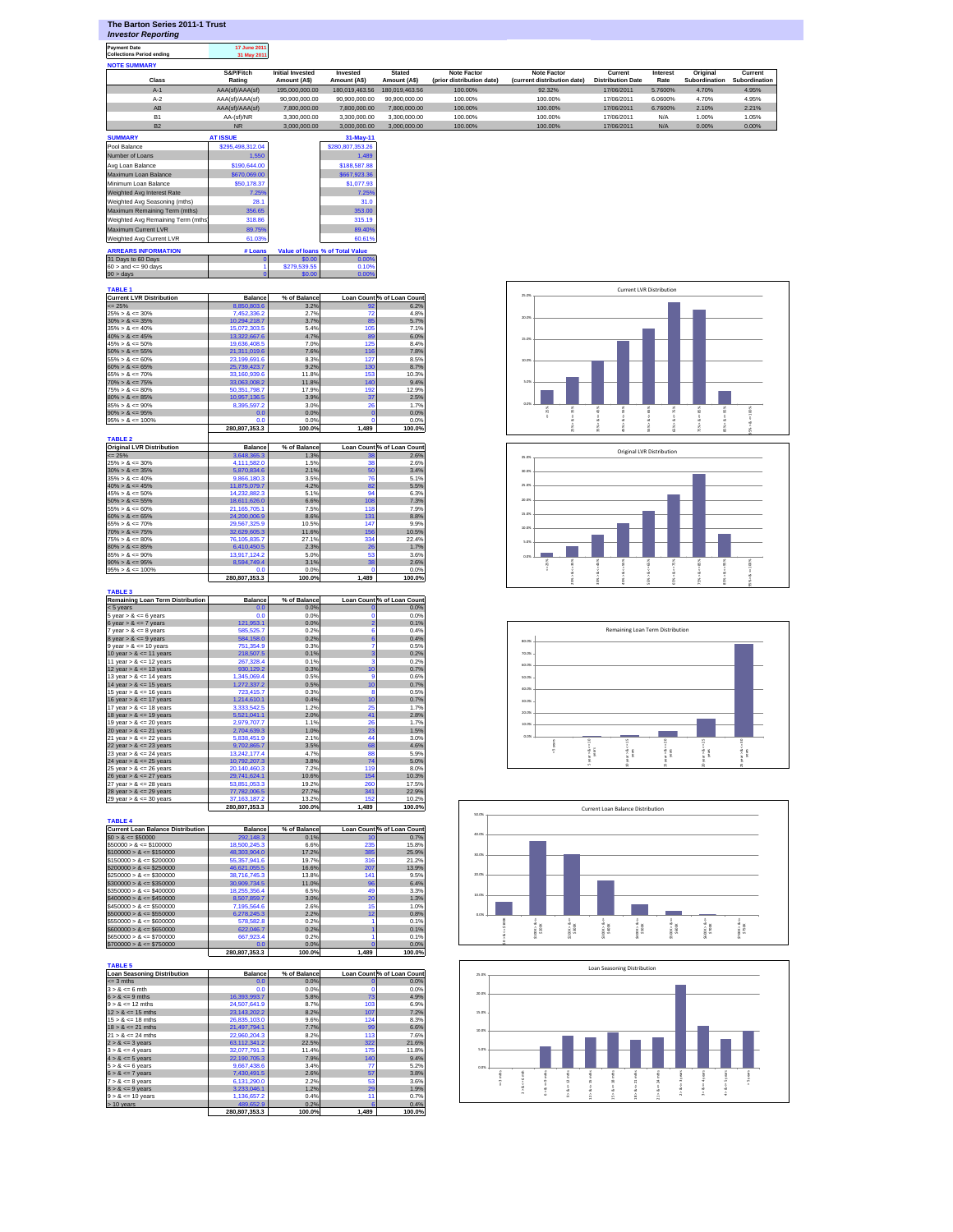| The Barton Series 2011-1 Trust |  |
|--------------------------------|--|
| <b>Investor Reporting</b>      |  |

**Payment Date 17 June 2011 Collections Period ending 31 May 2011**

| <b>NOTE SUMMARY</b> |                     |                                        |                         |                              |                                          |                                            |                                     |                  |                           |                          |
|---------------------|---------------------|----------------------------------------|-------------------------|------------------------------|------------------------------------------|--------------------------------------------|-------------------------------------|------------------|---------------------------|--------------------------|
| <b>Class</b>        | S&P/Fitch<br>Rating | <b>Initial Invested</b><br>Amount (AS) | Invested<br>Amount (AS) | <b>Stated</b><br>Amount (AS) | Note Factor<br>(prior distribution date) | Note Factor<br>(current distribution date) | Current<br><b>Distribution Date</b> | Interest<br>Rate | Original<br>Subordination | Current<br>Subordination |
| $A-1$               | AAA(sf)/AAA(sf)     | 195,000,000,00                         | 180.019.463.56          | 180.019.463.56               | 100.00%                                  | 92.32%                                     | 17/06/2011                          | 5.7600%          | 4.70%                     | 4.95%                    |
| $A-2$               | AAA(sf)/AAA(sf)     | 90.900.000.00                          | 90.900.000.00           | 90.900.000.00                | 100.00%                                  | 100.00%                                    | 17/06/2011                          | 6.0600%          | 4.70%                     | 4.95%                    |
| AB                  | AAA(sf)/AAA(sf)     | 7.800.000.00                           | 7.800.000.00            | 7.800.000.00                 | 100.00%                                  | 100.00%                                    | 17/06/2011                          | 6.7600%          | 2.10%                     | 2.21%                    |
| <b>B1</b>           | AA-(sf)/NR          | 3.300.000.00                           | 3,300,000,00            | 3.300.000.00                 | 100.00%                                  | 100.00%                                    | 17/06/2011                          | N/A              | 1.00%                     | 1.05%                    |
|                     |                     |                                        |                         |                              |                                          |                                            |                                     |                  |                           |                          |

| <b>B2</b>                          | <b>NR</b>        | 3.000.000.00 | 3.000.000.00                    | 3.000.000.00 | 100.00% | 100.00% | 17/06/2011 | N/A | 0.00% | 0.00% |
|------------------------------------|------------------|--------------|---------------------------------|--------------|---------|---------|------------|-----|-------|-------|
| <b>SUMMARY</b>                     | <b>AT ISSUE</b>  |              | 31-May-11                       |              |         |         |            |     |       |       |
| Pool Balance                       | \$295.498.312.04 |              | \$280,807,353.26                |              |         |         |            |     |       |       |
| Number of Loans                    | 1.550            |              | 1.489                           |              |         |         |            |     |       |       |
| Avg Loan Balance                   | \$190,644.00     |              | \$188,587.88                    |              |         |         |            |     |       |       |
| Maximum Loan Balance               | \$670,069.00     |              | \$667,923,36                    |              |         |         |            |     |       |       |
| Minimum Loan Balance               | \$50,178,37      |              | \$1,077.93                      |              |         |         |            |     |       |       |
| Weighted Avg Interest Rate         | 7.25%            |              | 7.25%                           |              |         |         |            |     |       |       |
| Weighted Avg Seasoning (mths)      | 28.1             |              | 31.0                            |              |         |         |            |     |       |       |
| Maximum Remaining Term (mths)      | 356.65           |              | 353.00                          |              |         |         |            |     |       |       |
| Weighted Avg Remaining Term (mths) | 318.86           |              | 315.19                          |              |         |         |            |     |       |       |
| Maximum Current LVR                | 89.75%           |              | 89.40%                          |              |         |         |            |     |       |       |
| Weighted Avg Current LVR           | 61.03%           |              | 60.61%                          |              |         |         |            |     |       |       |
| <b>ARREARS INFORMATION</b>         | # Loans          |              | Value of Ioans % of Total Value |              |         |         |            |     |       |       |
| 31 Days to 60 Days                 |                  | \$0.00       | 0.00%                           |              |         |         |            |     |       |       |
| $60 >$ and $\leq 90$ days          |                  | \$279,539.55 | 0.10%                           |              |         |         |            |     |       |       |
| $90 > \text{days}$                 |                  | \$0.00       | 0.00%                           |              |         |         |            |     |       |       |

## **TABLE 1**

| Current LVR Distribution | <b>Balance</b> | % of Balance |       | <b>Loan Countl% of Loan Count</b> |
|--------------------------|----------------|--------------|-------|-----------------------------------|
| $\leq$ 25%               | 8.850.803.6    | 3.2%         | 92    | 6.2%                              |
| $25\% > 8 \le 30\%$      | 7.452.336.2    | 2.7%         | 72    | 4.8%                              |
| $30\% > 8 \le 35\%$      | 10.294.218.7   | 3.7%         | 85    | 5.7%                              |
| $35\% > 8 \le 40\%$      | 15.072.303.5   | 5.4%         | 105   | 7.1%                              |
| $40\% > 8 \le 45\%$      | 13.322.667.6   | 4.7%         | 89    | 6.0%                              |
| $45\% > 8 \le 50\%$      | 19,636,408.5   | 7.0%         | 125   | 8.4%                              |
| $50\% > 8 \le 55\%$      | 21.311.019.6   | 7.6%         | 116   | 7.8%                              |
| $55\% > 8 \le 60\%$      | 23,199,691.6   | 8.3%         | 127   | 8.5%                              |
| $60\% > 8 \le 65\%$      | 25.739.423.7   | 9.2%         | 130   | 8.7%                              |
| $65\% > 8 \le 70\%$      | 33.160.939.6   | 11.8%        | 153   | 10.3%                             |
| $70\% > 8 \le 75\%$      | 33,063,008.2   | 11.8%        | 140   | 9.4%                              |
| $75\% > 8 \le 80\%$      | 50.351.798.7   | 17.9%        | 192   | 12.9%                             |
| $80\% > 8 \le 85\%$      | 10.957.136.5   | 3.9%         | 37    | 2.5%                              |
| $85\% > 8 \le 90\%$      | 8.395.597.2    | 3.0%         | 26    | 1.7%                              |
| $90\% > 8 \le 95\%$      | 0.0            | 0.0%         |       | 0.0%                              |
| $95\% > 8 \le 100\%$     | 0.0            | 0.0%         |       | 0.0%                              |
|                          | 280.807.353.3  | 100.0%       | 1.489 | 100.0%                            |

| <b>TABLE 2</b>                   |                |              |       |                            |
|----------------------------------|----------------|--------------|-------|----------------------------|
| <b>Original LVR Distribution</b> | <b>Balance</b> | % of Balance |       | Loan Count % of Loan Count |
| $\leq$ 25%                       | 3.648.365.3    | 1.3%         | 38    | 2.6%                       |
| $25\% > 8 \le 30\%$              | 4.111.582.0    | 1.5%         | 38    | 2.6%                       |
| $30\% > 8 \le 35\%$              | 5.870.834.6    | 2.1%         | 50    | 3.4%                       |
| $35\% > 8 \le 40\%$              | 9.866.180.3    | 3.5%         | 76    | 5.1%                       |
| $40\% > 8 \le 45\%$              | 11.875.079.7   | 4.2%         | 82    | 5.5%                       |
| $45\% > 8 \le 50\%$              | 14.232.882.3   | 5.1%         | 94    | 6.3%                       |
| $50\% > 8 \le 55\%$              | 18.611.626.0   | 6.6%         | 108   | 7.3%                       |
| $55\% > 8 \le 60\%$              | 21.165.705.1   | 7.5%         | 118   | 7.9%                       |
| $60\% > 8 \le 65\%$              | 24.200.006.9   | 8.6%         | 131   | 8.8%                       |
| $65\% > 8 \le 70\%$              | 29.567.325.9   | 10.5%        | 147   | 9.9%                       |
| $70\% > 8 \le 75\%$              | 32.629.605.3   | 11.6%        | 156   | 10.5%                      |
| $75\% > 8 \leq 80\%$             | 76.105.835.7   | 27.1%        | 334   | 22.4%                      |
| $80\% > 8 \le 85\%$              | 6.410.450.5    | 2.3%         | 26    | 1.7%                       |
| $85\% > 8 \le 90\%$              | 13,917,124.2   | 5.0%         | 53    | 3.6%                       |
| $90\% > 8 \le 95\%$              | 8.594.749.4    | 3.1%         | 38    | 2.6%                       |
| $95\% > 8 \le 100\%$             | 0.0            | 0.0%         | n     | 0.0%                       |
|                                  | 280.807.353.3  | 100.0%       | 1.489 | 100.0%                     |

| <b>Remaining Loan Term Distribution</b> | <b>Balance</b> | % of Balance |                         | Loan Count % of Loan Count |
|-----------------------------------------|----------------|--------------|-------------------------|----------------------------|
| $< 5$ vears                             | 0.0            | 0.0%         | n                       | 0.0%                       |
| 5 year $> 8 \le 6$ years                | 0.0            | 0.0%         | $\Omega$                | 0.0%                       |
| 6 year $> 8 \le 7$ years                | 121.953.1      | 0.0%         | $\overline{2}$          | 0.1%                       |
| 7 year $> 8 \le 8$ years                | 585.525.7      | 0.2%         | 6                       | 0.4%                       |
| 8 year $> 8 \le 9$ years                | 584.158.0      | 0.2%         | 6                       | 0.4%                       |
| $9$ year > $8 \le 10$ years             | 751.354.9      | 0.3%         | 7                       | 0.5%                       |
| 10 year $> 8 \le 11$ years              | 218,507.5      | 0.1%         | $\overline{\mathbf{3}}$ | 0.2%                       |
| 11 year $> 8 \le 12$ years              | 267.328.4      | 0.1%         | 3                       | 0.2%                       |
| 12 year $> 8 \le 13$ years              | 930,129.2      | 0.3%         | 10                      | 0.7%                       |
| 13 year > $8 \le 14$ years              | 1.345.069.4    | 0.5%         | <b>g</b>                | 0.6%                       |
| 14 year $> 8 \le 15$ years              | 1,272,337.2    | 0.5%         | 10                      | 0.7%                       |
| 15 year $> 8 \le 16$ years              | 723.415.7      | 0.3%         | 8                       | 0.5%                       |
| 16 year $> 8 \le 17$ years              | 1.214.610.1    | 0.4%         | 10                      | 0.7%                       |
| 17 year $> 8 \le 18$ years              | 3.333.542.5    | 1.2%         | 25                      | 1.7%                       |
| 18 year $> 8 \le 19$ years              | 5.521.041.1    | 2.0%         | 41                      | 2.8%                       |
| 19 year $> 8 \le 20$ years              | 2.979.707.7    | 1.1%         | 26                      | 1.7%                       |
| 20 year $> 8 \le 21$ years              | 2.704.639.3    | 1.0%         | 23                      | 1.5%                       |
| 21 year > $8 \le 22$ years              | 5.838.451.9    | 2.1%         | 44                      | 3.0%                       |
| 22 year > $<=$ 23 years                 | 9.702.865.7    | 3.5%         | 68                      | 4.6%                       |
| 23 year > $8 \le 24$ years              | 13.242.177.4   | 4.7%         | 88                      | 5.9%                       |
| 24 year > $<= 25$ years                 | 10,792,207.3   | 3.8%         | 74                      | 5.0%                       |
| 25 year > $8 \le 26$ years              | 20.140.460.3   | 7.2%         | 119                     | 8.0%                       |
| 26 year > $<=$ 27 years                 | 29.741.624.1   | 10.6%        | 154                     | 10.3%                      |
| 27 year $> 8 \le 28$ years              | 53,851,053.3   | 19.2%        | 260                     | 17.5%                      |
| 28 year > $<=$ 29 years                 | 77,782,006.5   | 27.7%        | 341                     | 22.9%                      |
| 29 year $> 8 \le 30$ years              | 37.163.187.2   | 13.2%        | 152                     | 10.2%                      |
|                                         | 280.807.353.3  | 100.0%       | 1.489                   | 100.0%                     |

| <b>TABLE 4</b>                           |                |              |                 |                            |
|------------------------------------------|----------------|--------------|-----------------|----------------------------|
| <b>Current Loan Balance Distribution</b> | <b>Balance</b> | % of Balance |                 | Loan Count % of Loan Count |
| $$0 > 8 \leq $50000$                     | 292.148.3      | 0.1%         | 10 <sup>1</sup> | 0.7%                       |
| $$50000 > 8 \le $100000$                 | 18.500.245.3   | 6.6%         | 235             | 15.8%                      |
| $$100000 > 8 \leq $150000$               | 48.303.904.0   | 17.2%        | 385             | 25.9%                      |
| $$150000 > 8 \leq $200000$               | 55.357.941.6   | 19.7%        | 316             | 21.2%                      |
| $$200000 > 8 \leq $250000$               | 46.621.055.5   | 16.6%        | 207             | 13.9%                      |
| $$250000 > 8 \leq $300000$               | 38.716.745.3   | 13.8%        | 141             | 9.5%                       |
| $$300000 > 8 \leq $350000$               | 30.909.734.5   | 11.0%        | 96              | 6.4%                       |
| $$350000 > 8 \leq $400000$               | 18.255.356.4   | 6.5%         | 49              | 3.3%                       |
| $$400000 > 8 \leq $450000$               | 8.507.859.7    | 3.0%         | 20              | 1.3%                       |
| $$450000 > 8 \leq $500000$               | 7.195.564.6    | 2.6%         | 15              | 1.0%                       |
| $$500000 > 8 \leq $550000$               | 6.278.245.3    | 2.2%         | 12              | 0.8%                       |
| $$550000 > 8 \leq $600000$               | 578,582.8      | 0.2%         |                 | 0.1%                       |
| $$600000 > 8 \leq $650000$               | 622.046.7      | 0.2%         |                 | 0.1%                       |
| $$650000 > 8 \leq $700000$               | 667.923.4      | 0.2%         |                 | 0.1%                       |
| $$700000 > 8 \leq $750000$               | 0.0            | 0.0%         |                 | 0.0%                       |
|                                          | 280.807.353.3  | 100.0%       | 1.489           | 100.0%                     |

| <b>TABLE 5</b>                     |                 |              |       |                            |
|------------------------------------|-----------------|--------------|-------|----------------------------|
| <b>Loan Seasoning Distribution</b> | <b>Balance</b>  | % of Balance |       | Loan Count % of Loan Count |
| $\leq$ 3 mths                      | 0.0             | 0.0%         |       | 0.0%                       |
| $3 > 8 \le 6$ mth                  | 0.0             | 0.0%         |       | 0.0%                       |
| $6 > 8 \le 9$ mths                 | 16.393.993.7    | 5.8%         | 73    | 4.9%                       |
| $9 > 8 \le 12$ mths                | 24.507.641.9    | 8.7%         | 103   | 6.9%                       |
| $12 > 8 \le 15$ mths               | 23, 143, 202. 2 | 8.2%         | 107   | 7.2%                       |
| $15 > 8 \le 18$ mths               | 26.835.103.0    | 9.6%         | 124   | 8.3%                       |
| $18 > 8 \le 21$ mths               | 21,497,794.1    | 7.7%         | 99    | 6.6%                       |
| $21 > 8 \le 24$ mths               | 22.960.204.3    | 8.2%         | 113   | 7.6%                       |
| $2 > 8 \le 3$ years                | 63.112.341.2    | 22.5%        | 322   | 21.6%                      |
| $3 > 8 \leq 4$ years               | 32.077.791.3    | 11.4%        | 175   | 11.8%                      |
| $4 > 8 \le 5$ years                | 22.190.705.3    | 7.9%         | 140   | 9.4%                       |
| $5 > 8 \le 6$ vears                | 9.667.438.6     | 3.4%         | 77    | 5.2%                       |
| $6 > 8 \le 7$ years                | 7.430.491.5     | 2.6%         | 57    | 3.8%                       |
| $7 > 8 \le 8$ years                | 6.131.290.0     | 2.2%         | 53    | 3.6%                       |
| $8 > 8 \le 9$ years                | 3.233.046.1     | 1.2%         | 29    | 1.9%                       |
| $9 > 8 \le 10$ years               | 1.136.657.2     | 0.4%         | 11    | 0.7%                       |
| > 10 years                         | 489.652.9       | 0.2%         | 6     | 0.4%                       |
|                                    | 280.807.353.3   | 100.0%       | 1.489 | 100.0%                     |